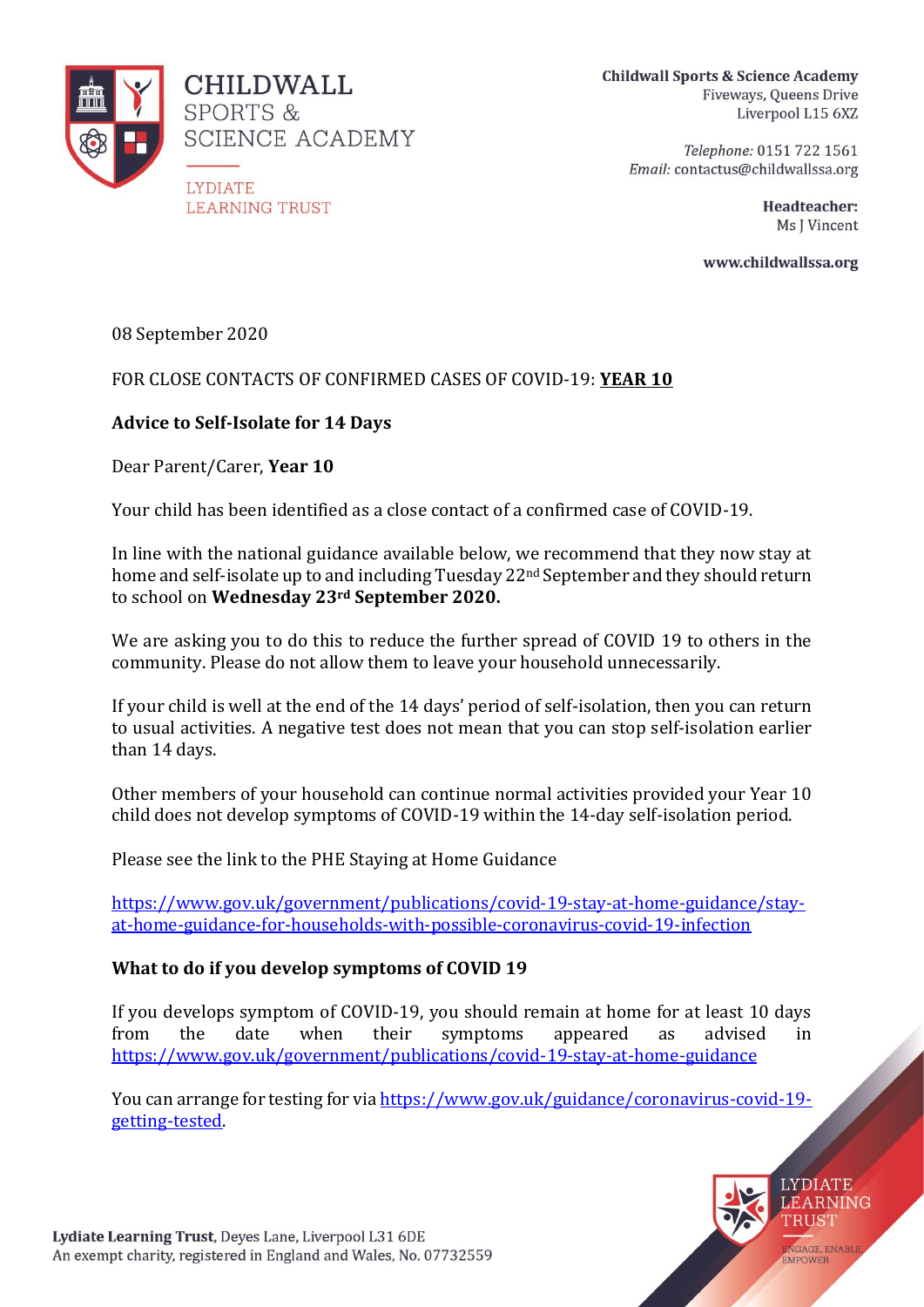

**Childwall Sports & Science Academy** Fiveways, Queens Drive Liverpool L15 6XZ

> Telephone: 0151 722 1561 Email: contactus@childwallssa.org

> > Headteacher: Ms I Vincent

www.childwallssa.org

08 September 2020

### FOR CLOSE CONTACTS OF CONFIRMED CASES OF COVID-19: **YEAR 10**

### **Advice to Self-Isolate for 14 Days**

Dear Parent/Carer, **Year 10**

Your child has been identified as a close contact of a confirmed case of COVID-19.

In line with the national guidance available below, we recommend that they now stay at home and self-isolate up to and including Tuesday 22<sup>nd</sup> September and they should return to school on **Wednesday 23rd September 2020.**

We are asking you to do this to reduce the further spread of COVID 19 to others in the community. Please do not allow them to leave your household unnecessarily.

If your child is well at the end of the 14 days' period of self-isolation, then you can return to usual activities. A negative test does not mean that you can stop self-isolation earlier than 14 days.

Other members of your household can continue normal activities provided your Year 10 child does not develop symptoms of COVID-19 within the 14-day self-isolation period.

Please see the link to the PHE Staying at Home Guidance

[https://www.gov.uk/government/publications/covid-19-stay-at-home-guidance/stay](https://www.gov.uk/government/publications/covid-19-stay-at-home-guidance/stay-at-home-guidance-for-households-with-possible-coronavirus-covid-19-infection)[at-home-guidance-for-households-with-possible-coronavirus-covid-19-infection](https://www.gov.uk/government/publications/covid-19-stay-at-home-guidance/stay-at-home-guidance-for-households-with-possible-coronavirus-covid-19-infection)

#### **What to do if you develop symptoms of COVID 19**

If you develops symptom of COVID-19, you should remain at home for at least 10 days from the date when their symptoms appeared as advised in <https://www.gov.uk/government/publications/covid-19-stay-at-home-guidance>

You can arrange for testing for via [https://www.gov.uk/guidance/coronavirus-covid-19](https://www.gov.uk/guidance/coronavirus-covid-19-getting-tested) [getting-tested.](https://www.gov.uk/guidance/coronavirus-covid-19-getting-tested)

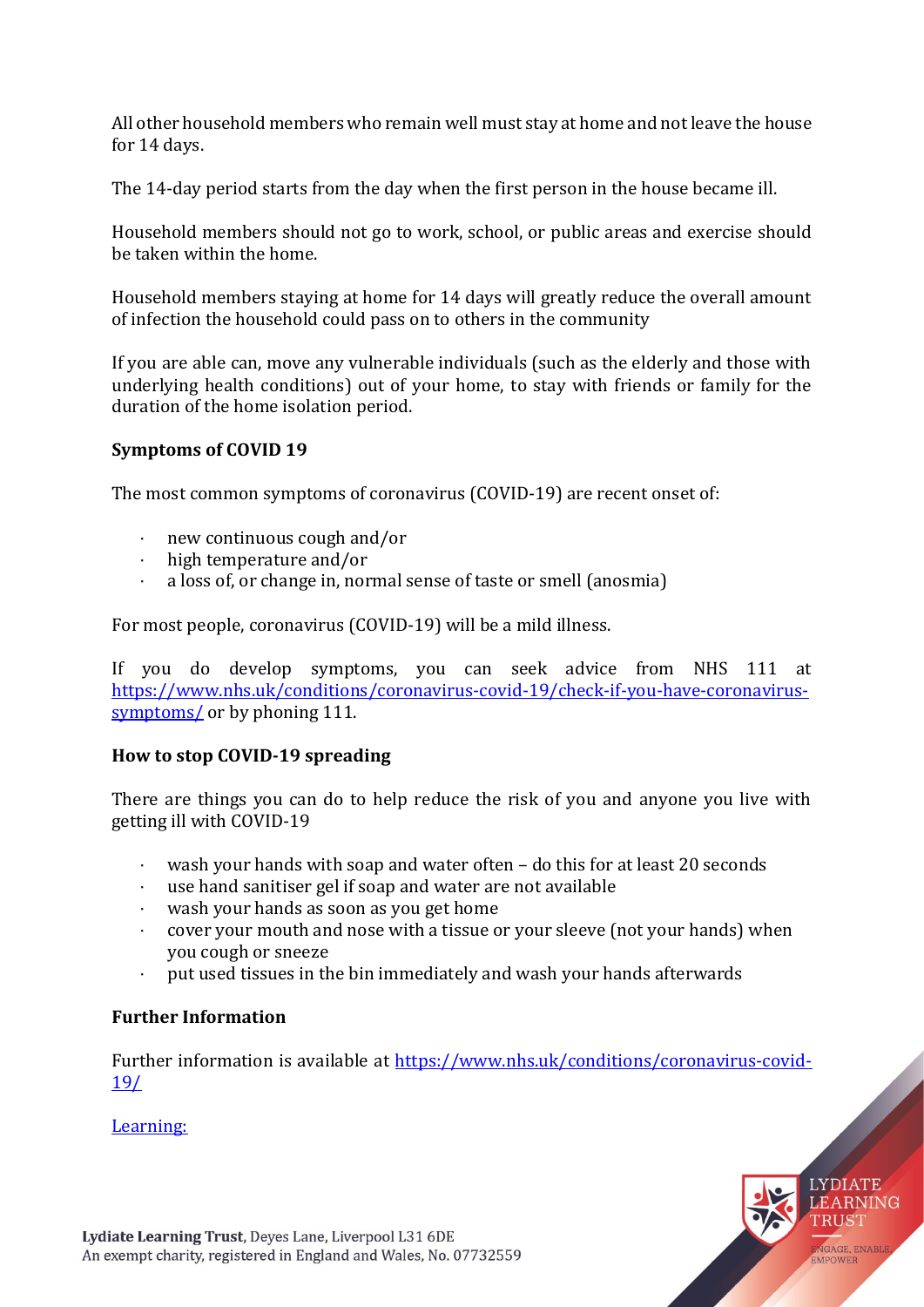All other household members who remain well must stay at home and not leave the house for 14 days.

The 14-day period starts from the day when the first person in the house became ill.

Household members should not go to work, school, or public areas and exercise should be taken within the home.

Household members staying at home for 14 days will greatly reduce the overall amount of infection the household could pass on to others in the community

If you are able can, move any vulnerable individuals (such as the elderly and those with underlying health conditions) out of your home, to stay with friends or family for the duration of the home isolation period.

## **Symptoms of COVID 19**

The most common symptoms of coronavirus (COVID-19) are recent onset of:

- · new continuous cough and/or
- · high temperature and/or
- a loss of, or change in, normal sense of taste or smell (anosmia)

For most people, coronavirus (COVID-19) will be a mild illness.

If you do develop symptoms, you can seek advice from NHS 111 at [https://www.nhs.uk/conditions/coronavirus-covid-19/check-if-you-have-coronavirus](https://www.nhs.uk/conditions/coronavirus-covid-19/check-if-you-have-coronavirus-symptoms/)[symptoms/](https://www.nhs.uk/conditions/coronavirus-covid-19/check-if-you-have-coronavirus-symptoms/) or by phoning 111.

# **How to stop COVID-19 spreading**

There are things you can do to help reduce the risk of you and anyone you live with getting ill with COVID-19

- · wash your hands with soap and water often do this for at least 20 seconds
- · use hand sanitiser gel if soap and water are not available
- · wash your hands as soon as you get home
- · cover your mouth and nose with a tissue or your sleeve (not your hands) when you cough or sneeze
- put used tissues in the bin immediately and wash your hands afterwards

# **Further Information**

Further information is available at [https://www.nhs.uk/conditions/coronavirus-covid-](https://www.nhs.uk/conditions/coronavirus-covid-19/)[19/](https://www.nhs.uk/conditions/coronavirus-covid-19/)

Learning: